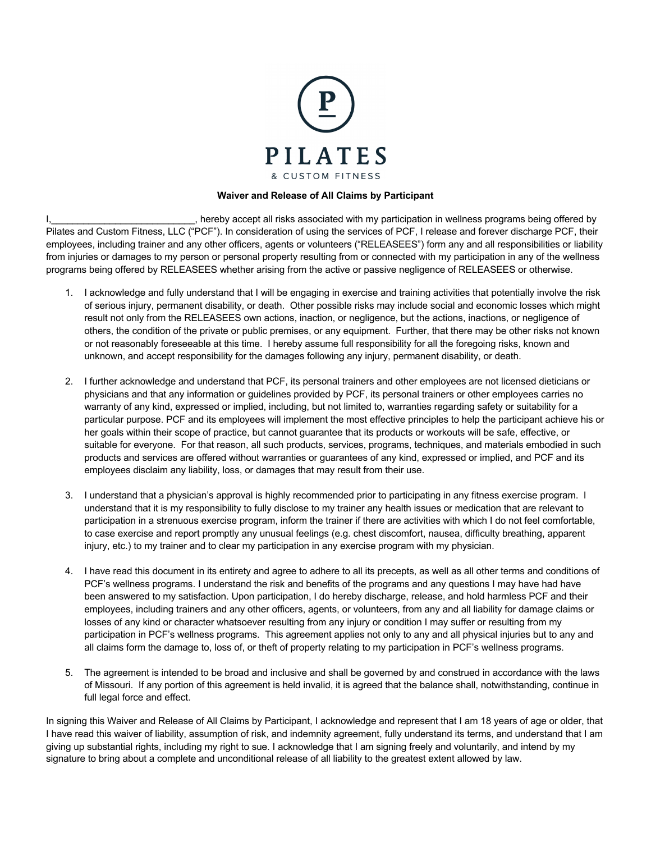

## **Waiver and Release of All Claims by Participant**

I, 1, 1, 2008, 1, 1, 2008, 1, 1, 2008, 1, 2008, 1, 2008, 1, 2008, 1, 2008, 1, 2008, 1, 2008, 1, 2008, 1, 2008, 1, 2008, 1, 2008, 1, 2008, 1, 2008, 1, 2008, 1, 2008, 1, 2008, 1, 2008, 1, 2008, 1, 2008, 1, 2008, 1, 2008, 1, Pilates and Custom Fitness, LLC ("PCF"). In consideration of using the services of PCF, I release and forever discharge PCF, their employees, including trainer and any other officers, agents or volunteers ("RELEASEES") form any and all responsibilities or liability from injuries or damages to my person or personal property resulting from or connected with my participation in any of the wellness programs being offered by RELEASEES whether arising from the active or passive negligence of RELEASEES or otherwise.

- 1. I acknowledge and fully understand that I will be engaging in exercise and training activities that potentially involve the risk of serious injury, permanent disability, or death. Other possible risks may include social and economic losses which might result not only from the RELEASEES own actions, inaction, or negligence, but the actions, inactions, or negligence of others, the condition of the private or public premises, or any equipment. Further, that there may be other risks not known or not reasonably foreseeable at this time. I hereby assume full responsibility for all the foregoing risks, known and unknown, and accept responsibility for the damages following any injury, permanent disability, or death.
- 2. I further acknowledge and understand that PCF, its personal trainers and other employees are not licensed dieticians or physicians and that any information or guidelines provided by PCF, its personal trainers or other employees carries no warranty of any kind, expressed or implied, including, but not limited to, warranties regarding safety or suitability for a particular purpose. PCF and its employees will implement the most effective principles to help the participant achieve his or her goals within their scope of practice, but cannot guarantee that its products or workouts will be safe, effective, or suitable for everyone. For that reason, all such products, services, programs, techniques, and materials embodied in such products and services are offered without warranties or guarantees of any kind, expressed or implied, and PCF and its employees disclaim any liability, loss, or damages that may result from their use.
- 3. I understand that a physician's approval is highly recommended prior to participating in any fitness exercise program. I understand that it is my responsibility to fully disclose to my trainer any health issues or medication that are relevant to participation in a strenuous exercise program, inform the trainer if there are activities with which I do not feel comfortable, to case exercise and report promptly any unusual feelings (e.g. chest discomfort, nausea, difficulty breathing, apparent injury, etc.) to my trainer and to clear my participation in any exercise program with my physician.
- 4. I have read this document in its entirety and agree to adhere to all its precepts, as well as all other terms and conditions of PCF's wellness programs. I understand the risk and benefits of the programs and any questions I may have had have been answered to my satisfaction. Upon participation, I do hereby discharge, release, and hold harmless PCF and their employees, including trainers and any other officers, agents, or volunteers, from any and all liability for damage claims or losses of any kind or character whatsoever resulting from any injury or condition I may suffer or resulting from my participation in PCF's wellness programs. This agreement applies not only to any and all physical injuries but to any and all claims form the damage to, loss of, or theft of property relating to my participation in PCF's wellness programs.
- 5. The agreement is intended to be broad and inclusive and shall be governed by and construed in accordance with the laws of Missouri. If any portion of this agreement is held invalid, it is agreed that the balance shall, notwithstanding, continue in full legal force and effect.

In signing this Waiver and Release of All Claims by Participant, I acknowledge and represent that I am 18 years of age or older, that I have read this waiver of liability, assumption of risk, and indemnity agreement, fully understand its terms, and understand that I am giving up substantial rights, including my right to sue. I acknowledge that I am signing freely and voluntarily, and intend by my signature to bring about a complete and unconditional release of all liability to the greatest extent allowed by law.